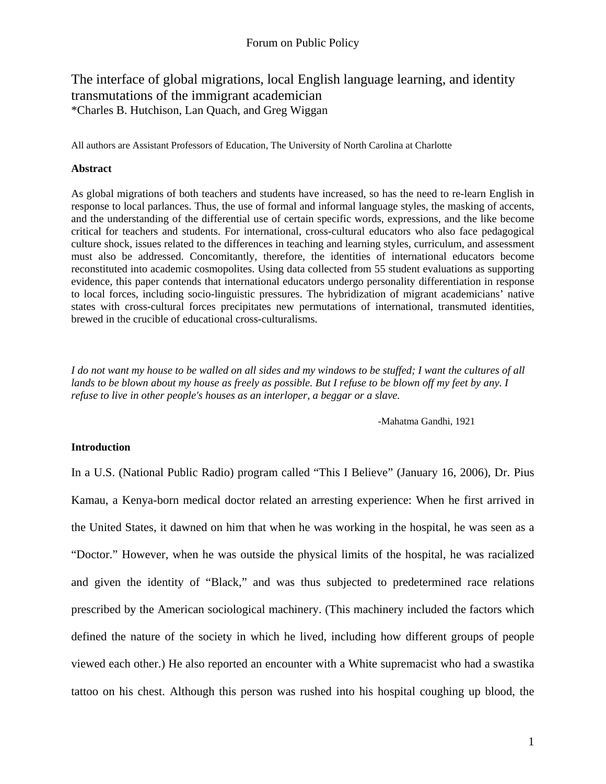## The interface of global migrations, local English language learning, and identity transmutations of the immigrant academician \*Charles B. Hutchison, Lan Quach, and Greg Wiggan

All authors are Assistant Professors of Education, The University of North Carolina at Charlotte

#### **Abstract**

As global migrations of both teachers and students have increased, so has the need to re-learn English in response to local parlances. Thus, the use of formal and informal language styles, the masking of accents, and the understanding of the differential use of certain specific words, expressions, and the like become critical for teachers and students. For international, cross-cultural educators who also face pedagogical culture shock, issues related to the differences in teaching and learning styles, curriculum, and assessment must also be addressed. Concomitantly, therefore, the identities of international educators become reconstituted into academic cosmopolites. Using data collected from 55 student evaluations as supporting evidence, this paper contends that international educators undergo personality differentiation in response to local forces, including socio-linguistic pressures. The hybridization of migrant academicians' native states with cross-cultural forces precipitates new permutations of international, transmuted identities, brewed in the crucible of educational cross-culturalisms.

*I do not want my house to be walled on all sides and my windows to be stuffed; I want the cultures of all lands to be blown about my house as freely as possible. But I refuse to be blown off my feet by any. I refuse to live in other people's houses as an interloper, a beggar or a slave.*

-Mahatma Gandhi, 1921

## **Introduction**

In a U.S. (National Public Radio) program called "This I Believe" (January 16, 2006), Dr. Pius Kamau, a Kenya-born medical doctor related an arresting experience: When he first arrived in the United States, it dawned on him that when he was working in the hospital, he was seen as a "Doctor." However, when he was outside the physical limits of the hospital, he was racialized and given the identity of "Black," and was thus subjected to predetermined race relations prescribed by the American sociological machinery. (This machinery included the factors which defined the nature of the society in which he lived, including how different groups of people viewed each other.) He also reported an encounter with a White supremacist who had a swastika tattoo on his chest. Although this person was rushed into his hospital coughing up blood, the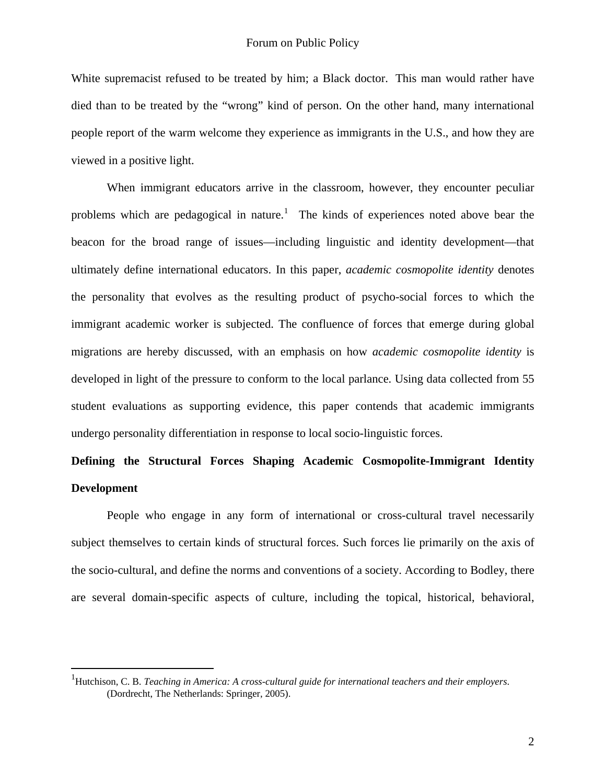<span id="page-1-0"></span>White supremacist refused to be treated by him; a Black doctor. This man would rather have died than to be treated by the "wrong" kind of person. On the other hand, many international people report of the warm welcome they experience as immigrants in the U.S., and how they are viewed in a positive light.

When immigrant educators arrive in the classroom, however, they encounter peculiar problems which are pedagogical in nature.<sup>[1](#page-1-0)</sup> The kinds of experiences noted above bear the beacon for the broad range of issues—including linguistic and identity development—that ultimately define international educators. In this paper, *academic cosmopolite identity* denotes the personality that evolves as the resulting product of psycho-social forces to which the immigrant academic worker is subjected. The confluence of forces that emerge during global migrations are hereby discussed, with an emphasis on how *academic cosmopolite identity* is developed in light of the pressure to conform to the local parlance. Using data collected from 55 student evaluations as supporting evidence, this paper contends that academic immigrants undergo personality differentiation in response to local socio-linguistic forces.

# **Defining the Structural Forces Shaping Academic Cosmopolite-Immigrant Identity Development**

People who engage in any form of international or cross-cultural travel necessarily subject themselves to certain kinds of structural forces. Such forces lie primarily on the axis of the socio-cultural, and define the norms and conventions of a society. According to Bodley, there are several domain-specific aspects of culture, including the topical, historical, behavioral,

1

<sup>&</sup>lt;sup>1</sup>Hutchison, C. B. *Teaching in America: A cross-cultural guide for international teachers and their employers.* (Dordrecht, The Netherlands: Springer, 2005).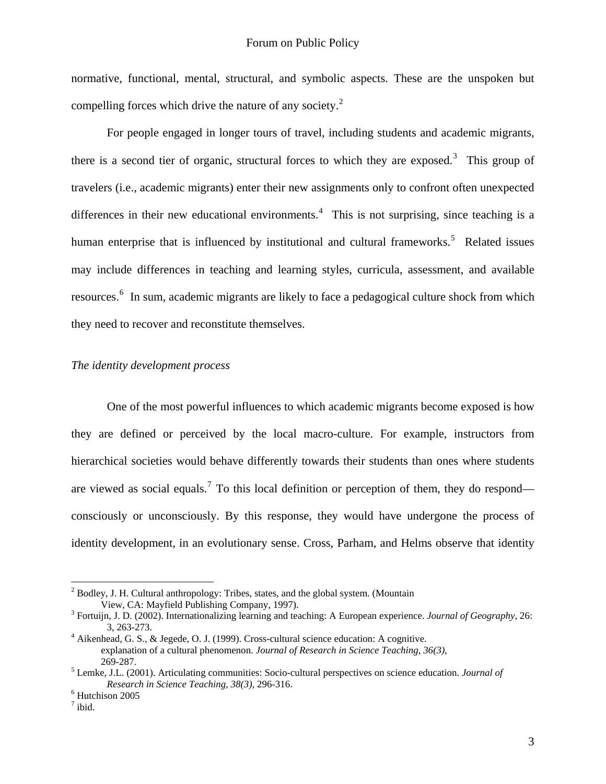normative, functional, mental, structural, and symbolic aspects. These are the unspoken but compelling forces which drive the nature of any society.<sup>[2](#page-2-0)</sup>

For people engaged in longer tours of travel, including students and academic migrants, there is a second tier of organic, structural forces to which they are exposed.<sup>[3](#page-2-1)</sup> This group of travelers (i.e., academic migrants) enter their new assignments only to confront often unexpected differences in their new educational environments.<sup>[4](#page-2-2)</sup> This is not surprising, since teaching is a human enterprise that is influenced by institutional and cultural frameworks.<sup>[5](#page-2-3)</sup> Related issues may include differences in teaching and learning styles, curricula, assessment, and available resources.<sup>[6](#page-2-4)</sup> In sum, academic migrants are likely to face a pedagogical culture shock from which they need to recover and reconstitute themselves.

## *The identity development process*

 One of the most powerful influences to which academic migrants become exposed is how they are defined or perceived by the local macro-culture. For example, instructors from hierarchical societies would behave differently towards their students than ones where students are viewed as social equals.<sup>[7](#page-2-5)</sup> To this local definition or perception of them, they do respond consciously or unconsciously. By this response, they would have undergone the process of identity development, in an evolutionary sense. Cross, Parham, and Helms observe that identity

<span id="page-2-0"></span> $2^{2}$  Bodley, J. H. Cultural anthropology: Tribes, states, and the global system. (Mountain View, CA: Mayfield Publishing Company, 1997). 3

<span id="page-2-1"></span>Fortuijn, J. D. (2002). Internationalizing learning and teaching: A European experience. *Journal of Geography*, 26: 3, 263-273. 4 Aikenhead, G. S., & Jegede, O. J. (1999). Cross-cultural science education: A cognitive.

<span id="page-2-2"></span>explanation of a cultural phenomenon. *Journal of Research in Science Teaching, 36(3),* 269-287.

<span id="page-2-3"></span><sup>5</sup> Lemke, J.L. (2001). Articulating communities: Socio-cultural perspectives on science education. *Journal of Research in Science Teaching, 38(3), 296-316.* 

<span id="page-2-5"></span><span id="page-2-4"></span><sup>&</sup>lt;sup>6</sup> Hutchison 2005

 $^7$  ibid.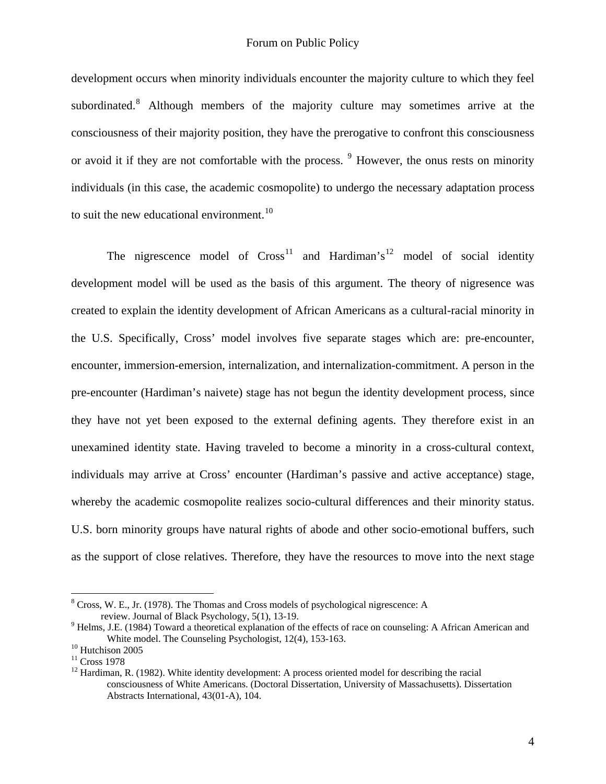development occurs when minority individuals encounter the majority culture to which they feel subordinated.<sup>[8](#page-3-0)</sup> Although members of the majority culture may sometimes arrive at the consciousness of their majority position, they have the prerogative to confront this consciousness or avoid it if they are not comfortable with the process. <sup>[9](#page-3-1)</sup> However, the onus rests on minority individuals (in this case, the academic cosmopolite) to undergo the necessary adaptation process to suit the new educational environment.<sup>[10](#page-3-2)</sup>

The nigrescence model of  $Cross<sup>11</sup>$  $Cross<sup>11</sup>$  $Cross<sup>11</sup>$  and Hardiman's<sup>[12](#page-3-4)</sup> model of social identity development model will be used as the basis of this argument. The theory of nigresence was created to explain the identity development of African Americans as a cultural-racial minority in the U.S. Specifically, Cross' model involves five separate stages which are: pre-encounter, encounter, immersion-emersion, internalization, and internalization-commitment. A person in the pre-encounter (Hardiman's naivete) stage has not begun the identity development process, since they have not yet been exposed to the external defining agents. They therefore exist in an unexamined identity state. Having traveled to become a minority in a cross-cultural context, individuals may arrive at Cross' encounter (Hardiman's passive and active acceptance) stage, whereby the academic cosmopolite realizes socio-cultural differences and their minority status. U.S. born minority groups have natural rights of abode and other socio-emotional buffers, such as the support of close relatives. Therefore, they have the resources to move into the next stage

<span id="page-3-0"></span><sup>&</sup>lt;sup>8</sup> Cross, W. E., Jr. (1978). The Thomas and Cross models of psychological nigrescence: A review. Journal of Black Psychology, 5(1), 13-19.

<span id="page-3-1"></span><sup>&</sup>lt;sup>9</sup> Helms, J.E. (1984) Toward a theoretical explanation of the effects of race on counseling: A African American and White model. The Counseling Psychologist, 12(4), 153-163.<br><sup>10</sup> Hutchison 2005

<span id="page-3-2"></span>

<span id="page-3-3"></span><sup>&</sup>lt;sup>11</sup> Cross 1978

<span id="page-3-4"></span> $12$  Hardiman, R. (1982). White identity development: A process oriented model for describing the racial consciousness of White Americans. (Doctoral Dissertation, University of Massachusetts). Dissertation Abstracts International, 43(01-A), 104.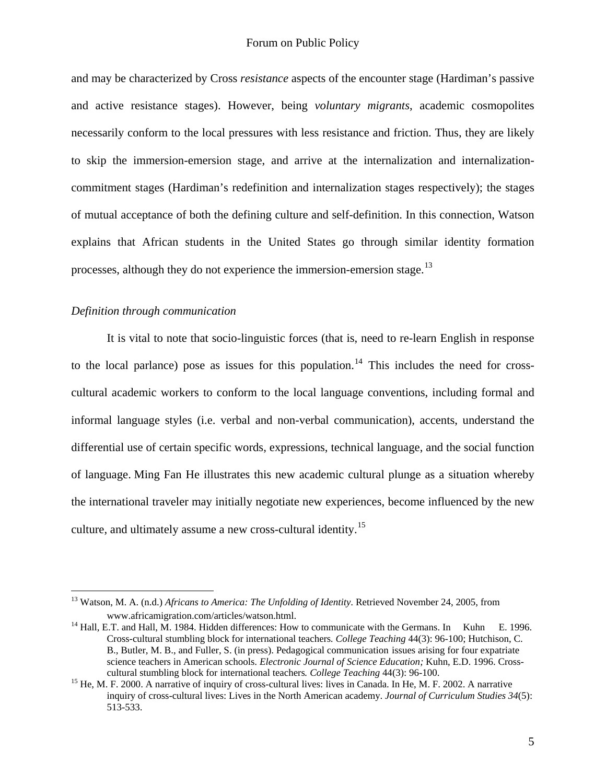and may be characterized by Cross *resistance* aspects of the encounter stage (Hardiman's passive and active resistance stages). However, being *voluntary migrants*, academic cosmopolites necessarily conform to the local pressures with less resistance and friction. Thus, they are likely to skip the immersion-emersion stage, and arrive at the internalization and internalizationcommitment stages (Hardiman's redefinition and internalization stages respectively); the stages of mutual acceptance of both the defining culture and self-definition. In this connection, Watson explains that African students in the United States go through similar identity formation processes, although they do not experience the immersion-emersion stage.<sup>[13](#page-4-0)</sup>

#### *Definition through communication*

<u>.</u>

It is vital to note that socio-linguistic forces (that is, need to re-learn English in response to the local parlance) pose as issues for this population.<sup>[14](#page-4-1)</sup> This includes the need for crosscultural academic workers to conform to the local language conventions, including formal and informal language styles (i.e. verbal and non-verbal communication), accents, understand the differential use of certain specific words, expressions, technical language, and the social function of language. Ming Fan He illustrates this new academic cultural plunge as a situation whereby the international traveler may initially negotiate new experiences, become influenced by the new culture, and ultimately assume a new cross-cultural identity.<sup>[15](#page-4-2)</sup>

<span id="page-4-0"></span><sup>13</sup> Watson, M. A. (n.d.) *Africans to America: The Unfolding of Identity*. Retrieved November 24, 2005, from [www.africamigration.com/articles/watson.html](https://unccmail.uncc.edu/exchweb/bin/redir.asp?URL=http://www.africamigration.com/articles/watson.html).

<span id="page-4-1"></span> $14$  Hall, E.T. and Hall, M. 1984. Hidden differences: How to communicate with the Germans. In Kuhn E. 1996. Cross-cultural stumbling block for international teachers*. College Teaching* 44(3): 96-100; Hutchison, C. B., Butler, M. B., and Fuller, S. (in press). Pedagogical communication issues arising for four expatriate science teachers in American schools. *Electronic Journal of Science Education;* Kuhn, E.D. 1996. Cross cultural stumbling block for international teachers. *College Teaching* 44(3): 96-100.<br><sup>15</sup> He, M. F. 2000. A narrative of inquiry of cross-cultural lives: lives in Canada. In He, M. F. 2002. A narrative

<span id="page-4-2"></span>inquiry of cross-cultural lives: Lives in the North American academy. *Journal of Curriculum Studies 34*(5): 513-533.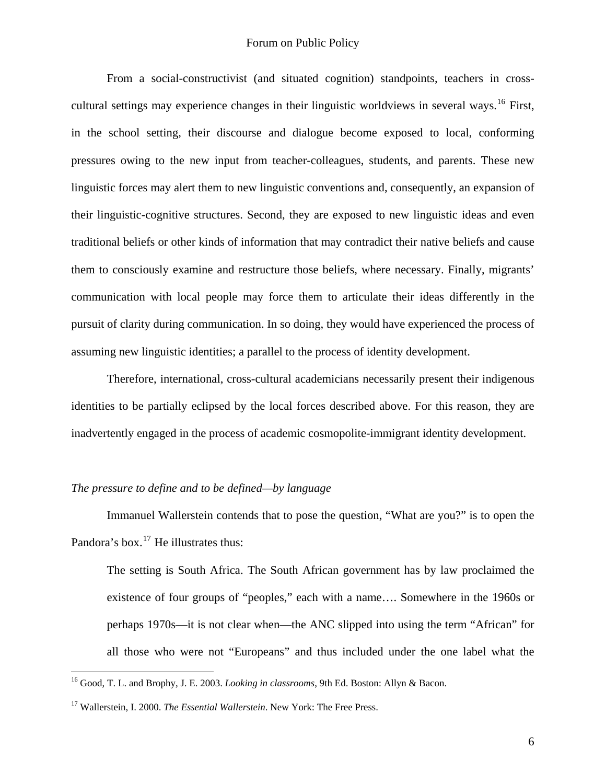From a social-constructivist (and situated cognition) standpoints, teachers in cross-cultural settings may experience changes in their linguistic worldviews in several ways.<sup>[16](#page-5-0)</sup> First, in the school setting, their discourse and dialogue become exposed to local, conforming pressures owing to the new input from teacher-colleagues, students, and parents. These new linguistic forces may alert them to new linguistic conventions and, consequently, an expansion of their linguistic-cognitive structures. Second, they are exposed to new linguistic ideas and even traditional beliefs or other kinds of information that may contradict their native beliefs and cause them to consciously examine and restructure those beliefs, where necessary. Finally, migrants' communication with local people may force them to articulate their ideas differently in the pursuit of clarity during communication. In so doing, they would have experienced the process of assuming new linguistic identities; a parallel to the process of identity development.

Therefore, international, cross-cultural academicians necessarily present their indigenous identities to be partially eclipsed by the local forces described above. For this reason, they are inadvertently engaged in the process of academic cosmopolite-immigrant identity development.

## *The pressure to define and to be defined—by language*

Immanuel Wallerstein contends that to pose the question, "What are you?" is to open the Pandora's box.<sup>[17](#page-5-1)</sup> He illustrates thus:

The setting is South Africa. The South African government has by law proclaimed the existence of four groups of "peoples," each with a name…. Somewhere in the 1960s or perhaps 1970s—it is not clear when—the ANC slipped into using the term "African" for all those who were not "Europeans" and thus included under the one label what the

<span id="page-5-0"></span><sup>16</sup> Good, T. L. and Brophy, J. E. 2003. *Looking in classrooms*, 9th Ed. Boston: Allyn & Bacon.

<span id="page-5-1"></span><sup>&</sup>lt;sup>17</sup> Wallerstein, I. 2000. *The Essential Wallerstein*. New York: The Free Press.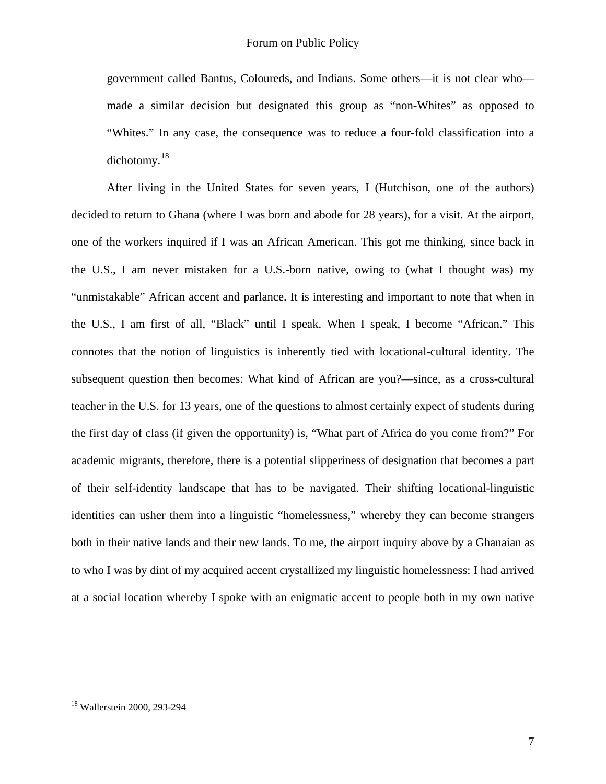government called Bantus, Coloureds, and Indians. Some others—it is not clear who made a similar decision but designated this group as "non-Whites" as opposed to "Whites." In any case, the consequence was to reduce a four-fold classification into a dichotomy.[18](#page-6-0)

After living in the United States for seven years, I (Hutchison, one of the authors) decided to return to Ghana (where I was born and abode for 28 years), for a visit. At the airport, one of the workers inquired if I was an African American. This got me thinking, since back in the U.S., I am never mistaken for a U.S.-born native, owing to (what I thought was) my "unmistakable" African accent and parlance. It is interesting and important to note that when in the U.S., I am first of all, "Black" until I speak. When I speak, I become "African." This connotes that the notion of linguistics is inherently tied with locational-cultural identity. The subsequent question then becomes: What kind of African are you?—since, as a cross-cultural teacher in the U.S. for 13 years, one of the questions to almost certainly expect of students during the first day of class (if given the opportunity) is, "What part of Africa do you come from?" For academic migrants, therefore, there is a potential slipperiness of designation that becomes a part of their self-identity landscape that has to be navigated. Their shifting locational-linguistic identities can usher them into a linguistic "homelessness," whereby they can become strangers both in their native lands and their new lands. To me, the airport inquiry above by a Ghanaian as to who I was by dint of my acquired accent crystallized my linguistic homelessness: I had arrived at a social location whereby I spoke with an enigmatic accent to people both in my own native

<u>.</u>

<span id="page-6-0"></span><sup>18</sup> Wallerstein 2000, 293-294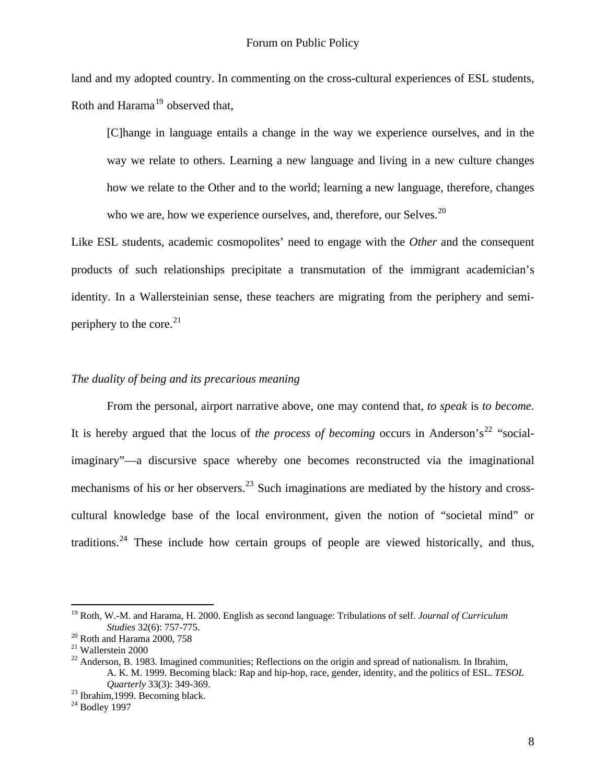land and my adopted country. In commenting on the cross-cultural experiences of ESL students, Roth and Harama $19$  observed that,

[C]hange in language entails a change in the way we experience ourselves, and in the way we relate to others. Learning a new language and living in a new culture changes how we relate to the Other and to the world; learning a new language, therefore, changes who we are, how we experience ourselves, and, therefore, our Selves.<sup>[20](#page-7-1)</sup>

Like ESL students, academic cosmopolites' need to engage with the *Other* and the consequent products of such relationships precipitate a transmutation of the immigrant academician's identity. In a Wallersteinian sense, these teachers are migrating from the periphery and semiperiphery to the core. $^{21}$  $^{21}$  $^{21}$ 

#### *The duality of being and its precarious meaning*

From the personal, airport narrative above, one may contend that, *to speak* is *to become.*  It is hereby argued that the locus of *the process of becoming* occurs in Anderson's<sup>[22](#page-7-3)</sup> "socialimaginary"—a discursive space whereby one becomes reconstructed via the imaginational mechanisms of his or her observers.<sup>[23](#page-7-4)</sup> Such imaginations are mediated by the history and crosscultural knowledge base of the local environment, given the notion of "societal mind" or traditions.<sup>[24](#page-7-5)</sup> These include how certain groups of people are viewed historically, and thus,

<span id="page-7-0"></span><sup>19</sup> Roth, W.-M. and Harama, H. 2000. English as second language: Tribulations of self. *Journal of Curriculum Studies* 32(6): 757-775. 20 Roth and Harama 2000, 758

<span id="page-7-2"></span><span id="page-7-1"></span><sup>21</sup> Wallerstein 2000

<span id="page-7-3"></span><sup>&</sup>lt;sup>22</sup> Anderson, B. 1983. Imagined communities; Reflections on the origin and spread of nationalism. In Ibrahim, A. K. M. 1999. Becoming black: Rap and hip-hop, race, gender, identity, and the politics of ESL. *TESOL Quarterly* 33(3): 349-369.<br><sup>23</sup> Ibrahim,1999. Becoming black.

<span id="page-7-4"></span>

<span id="page-7-5"></span> $24$  Bodley 1997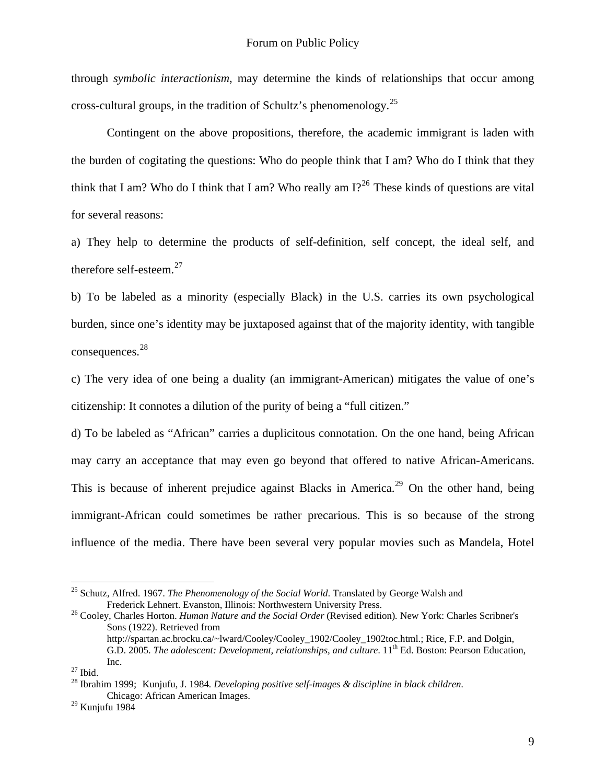through *symbolic interactionism*, may determine the kinds of relationships that occur among cross-cultural groups, in the tradition of Schultz's phenomenology.<sup>[25](#page-8-0)</sup>

Contingent on the above propositions, therefore, the academic immigrant is laden with the burden of cogitating the questions: Who do people think that I am? Who do I think that they think that I am? Who do I think that I am? Who really am  $12^{26}$  $12^{26}$  $12^{26}$  These kinds of questions are vital for several reasons:

a) They help to determine the products of self-definition, self concept, the ideal self, and therefore self-esteem. $27$ 

b) To be labeled as a minority (especially Black) in the U.S. carries its own psychological burden, since one's identity may be juxtaposed against that of the majority identity, with tangible consequences.[28](#page-8-3)

c) The very idea of one being a duality (an immigrant-American) mitigates the value of one's citizenship: It connotes a dilution of the purity of being a "full citizen."

d) To be labeled as "African" carries a duplicitous connotation. On the one hand, being African may carry an acceptance that may even go beyond that offered to native African-Americans. This is because of inherent prejudice against Blacks in America.<sup>[29](#page-8-4)</sup> On the other hand, being immigrant-African could sometimes be rather precarious. This is so because of the strong influence of the media. There have been several very popular movies such as Mandela, Hotel

<span id="page-8-0"></span><sup>&</sup>lt;sup>25</sup> Schutz, Alfred. 1967. *The Phenomenology of the Social World*. Translated by George Walsh and Frederick Lehnert. Evanston, Illinois: Northwestern University Press.

<span id="page-8-1"></span><sup>&</sup>lt;sup>26</sup> Cooley, Charles Horton. *Human Nature and the Social Order* (Revised edition). New York: Charles Scribner's Sons (1922). Retrieved from

http://spartan.ac.brocku.ca/~lward/Cooley/Cooley\_1902/Cooley\_1902toc.html.; Rice, F.P. and Dolgin, G.D. 2005. *The adolescent: Development, relationships, and culture*. 11<sup>th</sup> Ed. Boston: Pearson Education, Inc.

<span id="page-8-2"></span> $27$  Ibid.

<span id="page-8-3"></span><sup>28</sup> Ibrahim 1999; Kunjufu, J. 1984*. Developing positive self-images & discipline in black children*. Chicago: African American Images.

<span id="page-8-4"></span> $29$  Kunjufu 1984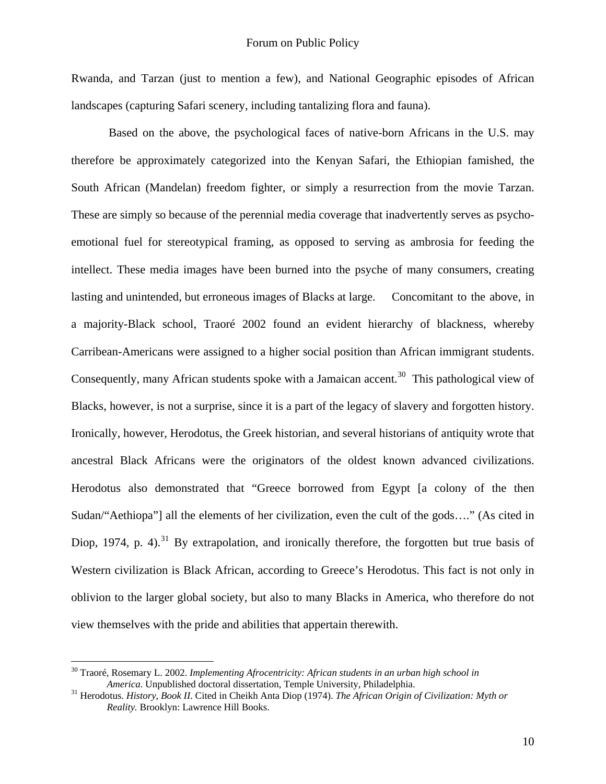Rwanda, and Tarzan (just to mention a few), and National Geographic episodes of African landscapes (capturing Safari scenery, including tantalizing flora and fauna).

 Based on the above, the psychological faces of native-born Africans in the U.S. may therefore be approximately categorized into the Kenyan Safari, the Ethiopian famished, the South African (Mandelan) freedom fighter, or simply a resurrection from the movie Tarzan. These are simply so because of the perennial media coverage that inadvertently serves as psychoemotional fuel for stereotypical framing, as opposed to serving as ambrosia for feeding the intellect. These media images have been burned into the psyche of many consumers, creating lasting and unintended, but erroneous images of Blacks at large. Concomitant to the above, in a majority-Black school, Traoré 2002 found an evident hierarchy of blackness, whereby Carribean-Americans were assigned to a higher social position than African immigrant students. Consequently, many African students spoke with a Jamaican accent.<sup>[30](#page-9-0)</sup> This pathological view of Blacks, however, is not a surprise, since it is a part of the legacy of slavery and forgotten history. Ironically, however, Herodotus, the Greek historian, and several historians of antiquity wrote that ancestral Black Africans were the originators of the oldest known advanced civilizations. Herodotus also demonstrated that "Greece borrowed from Egypt [a colony of the then Sudan/"Aethiopa"] all the elements of her civilization, even the cult of the gods…." (As cited in Diop, 1974, p. 4).<sup>[31](#page-9-1)</sup> By extrapolation, and ironically therefore, the forgotten but true basis of Western civilization is Black African, according to Greece's Herodotus. This fact is not only in oblivion to the larger global society, but also to many Blacks in America, who therefore do not view themselves with the pride and abilities that appertain therewith.

<span id="page-9-0"></span><sup>&</sup>lt;sup>30</sup> Traoré, Rosemary L. 2002. *Implementing Afrocentricity: African students in an urban high school in America. Unpublished doctoral dissertation, Temple University, Philadelphia.* 

<span id="page-9-1"></span><sup>&</sup>lt;sup>31</sup> Herodotus. *History, Book II*. Cited in Cheikh Anta Diop (1974). *The African Origin of Civilization: Myth or Reality.* Brooklyn: Lawrence Hill Books.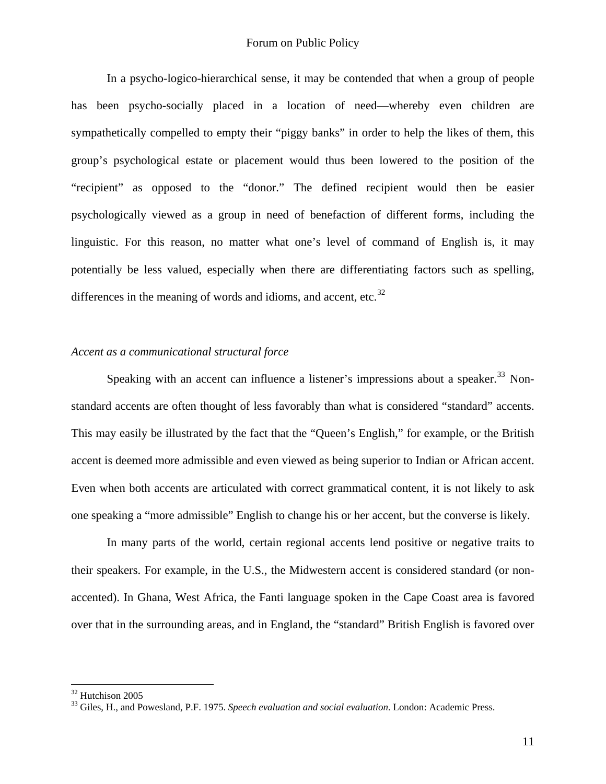In a psycho-logico-hierarchical sense, it may be contended that when a group of people has been psycho-socially placed in a location of need—whereby even children are sympathetically compelled to empty their "piggy banks" in order to help the likes of them, this group's psychological estate or placement would thus been lowered to the position of the "recipient" as opposed to the "donor." The defined recipient would then be easier psychologically viewed as a group in need of benefaction of different forms, including the linguistic. For this reason, no matter what one's level of command of English is, it may potentially be less valued, especially when there are differentiating factors such as spelling, differences in the meaning of words and idioms, and accent, etc. $32$ 

#### *Accent as a communicational structural force*

Speaking with an accent can influence a listener's impressions about a speaker.<sup>[33](#page-10-1)</sup> Nonstandard accents are often thought of less favorably than what is considered "standard" accents. This may easily be illustrated by the fact that the "Queen's English," for example, or the British accent is deemed more admissible and even viewed as being superior to Indian or African accent. Even when both accents are articulated with correct grammatical content, it is not likely to ask one speaking a "more admissible" English to change his or her accent, but the converse is likely.

In many parts of the world, certain regional accents lend positive or negative traits to their speakers. For example, in the U.S., the Midwestern accent is considered standard (or nonaccented). In Ghana, West Africa, the Fanti language spoken in the Cape Coast area is favored over that in the surrounding areas, and in England, the "standard" British English is favored over

<span id="page-10-0"></span><sup>&</sup>lt;sup>32</sup> Hutchison 2005

<span id="page-10-1"></span><sup>33</sup> Giles, H., and Powesland, P.F. 1975. *Speech evaluation and social evaluation*. London: Academic Press.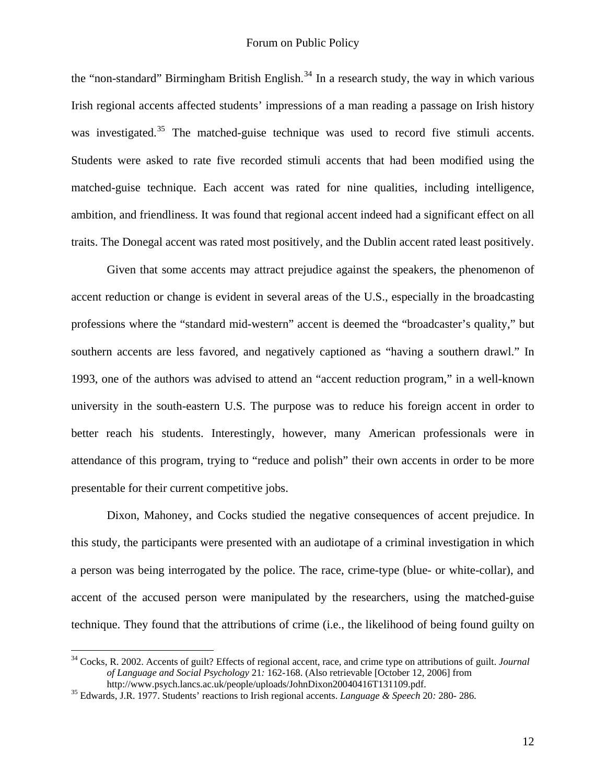the "non-standard" Birmingham British English.<sup>[34](#page-11-0)</sup> In a research study, the way in which various Irish regional accents affected students' impressions of a man reading a passage on Irish history was investigated.<sup>[35](#page-11-1)</sup> The matched-guise technique was used to record five stimuli accents. Students were asked to rate five recorded stimuli accents that had been modified using the matched-guise technique. Each accent was rated for nine qualities, including intelligence, ambition, and friendliness. It was found that regional accent indeed had a significant effect on all traits. The Donegal accent was rated most positively, and the Dublin accent rated least positively.

Given that some accents may attract prejudice against the speakers, the phenomenon of accent reduction or change is evident in several areas of the U.S., especially in the broadcasting professions where the "standard mid-western" accent is deemed the "broadcaster's quality," but southern accents are less favored, and negatively captioned as "having a southern drawl." In 1993, one of the authors was advised to attend an "accent reduction program," in a well-known university in the south-eastern U.S. The purpose was to reduce his foreign accent in order to better reach his students. Interestingly, however, many American professionals were in attendance of this program, trying to "reduce and polish" their own accents in order to be more presentable for their current competitive jobs.

Dixon, Mahoney, and Cocks studied the negative consequences of accent prejudice. In this study, the participants were presented with an audiotape of a criminal investigation in which a person was being interrogated by the police. The race, crime-type (blue- or white-collar), and accent of the accused person were manipulated by the researchers, using the matched-guise technique. They found that the attributions of crime (i.e., the likelihood of being found guilty on

<span id="page-11-0"></span><sup>34</sup> Cocks, R. 2002. Accents of guilt? Effects of regional accent, race, and crime type on attributions of guilt. *Journal of Language and Social Psychology* 21*:* 162-168. (Also retrievable [October 12, 2006] from

<span id="page-11-1"></span>http://www.psych.lancs.ac.uk/people/uploads/JohnDixon20040416T131109.pdf. 35 Edwards, J.R. 1977. Students' reactions to Irish regional accents. *Language & Speech* 20*:* 280- 286.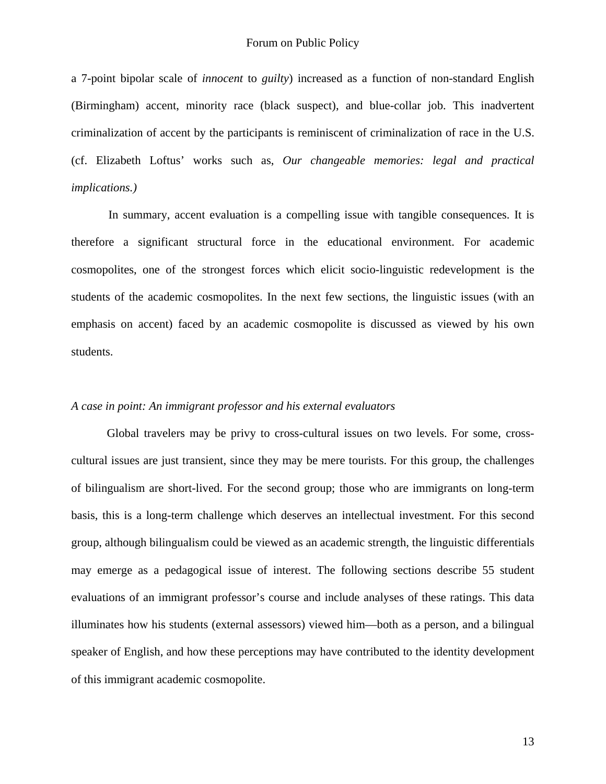a 7-point bipolar scale of *innocent* to *guilty*) increased as a function of non-standard English (Birmingham) accent, minority race (black suspect), and blue-collar job. This inadvertent criminalization of accent by the participants is reminiscent of criminalization of race in the U.S. (cf. Elizabeth Loftus' works such as, *[Our changeable memories: legal and practical](https://unccmail.uncc.edu/exchweb/bin/redir.asp?URL=http://faculty.washington.edu/eloftus/Articles/2003Nature.pdf)  [implications](https://unccmail.uncc.edu/exchweb/bin/redir.asp?URL=http://faculty.washington.edu/eloftus/Articles/2003Nature.pdf).)*

 In summary, accent evaluation is a compelling issue with tangible consequences. It is therefore a significant structural force in the educational environment. For academic cosmopolites, one of the strongest forces which elicit socio-linguistic redevelopment is the students of the academic cosmopolites. In the next few sections, the linguistic issues (with an emphasis on accent) faced by an academic cosmopolite is discussed as viewed by his own students.

#### *A case in point: An immigrant professor and his external evaluators*

Global travelers may be privy to cross-cultural issues on two levels. For some, crosscultural issues are just transient, since they may be mere tourists. For this group, the challenges of bilingualism are short-lived. For the second group; those who are immigrants on long-term basis, this is a long-term challenge which deserves an intellectual investment. For this second group, although bilingualism could be viewed as an academic strength, the linguistic differentials may emerge as a pedagogical issue of interest. The following sections describe 55 student evaluations of an immigrant professor's course and include analyses of these ratings. This data illuminates how his students (external assessors) viewed him—both as a person, and a bilingual speaker of English, and how these perceptions may have contributed to the identity development of this immigrant academic cosmopolite.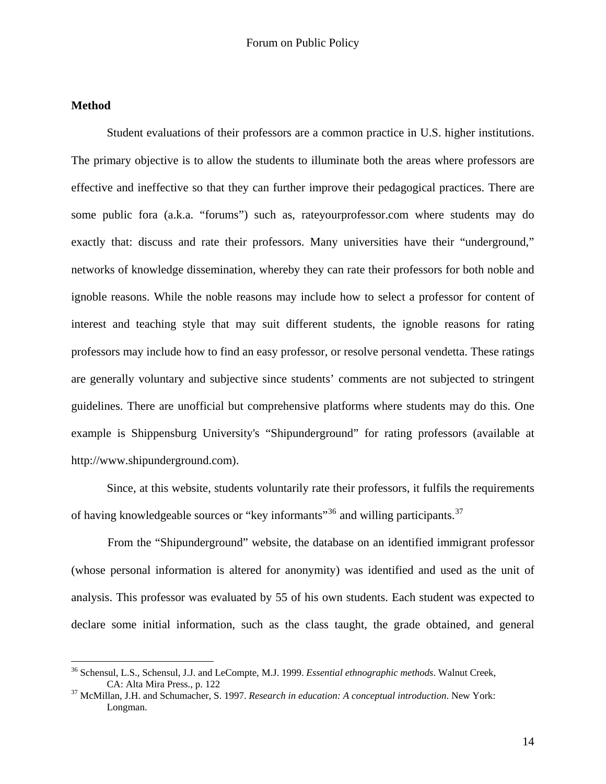## **Method**

 $\overline{a}$ 

Student evaluations of their professors are a common practice in U.S. higher institutions. The primary objective is to allow the students to illuminate both the areas where professors are effective and ineffective so that they can further improve their pedagogical practices. There are some public fora (a.k.a. "forums") such as, rateyourprofessor.com where students may do exactly that: discuss and rate their professors. Many universities have their "underground," networks of knowledge dissemination, whereby they can rate their professors for both noble and ignoble reasons. While the noble reasons may include how to select a professor for content of interest and teaching style that may suit different students, the ignoble reasons for rating professors may include how to find an easy professor, or resolve personal vendetta. These ratings are generally voluntary and subjective since students' comments are not subjected to stringent guidelines. There are unofficial but comprehensive platforms where students may do this. One example is Shippensburg University's "Shipunderground" for rating professors (available at [http://www.shipunderground.com\)](https://unccmail.uncc.edu/exchweb/bin/redir.asp?URL=https://unccmail.uncc.edu/exchweb/bin/redir.asp?URL=http://www.shipunderground.com/).

Since, at this website, students voluntarily rate their professors, it fulfils the requirements of having knowledgeable sources or "key informants"<sup>[36](#page-13-0)</sup> and willing participants.<sup>[37](#page-13-1)</sup>

 From the "Shipunderground" website, the database on an identified immigrant professor (whose personal information is altered for anonymity) was identified and used as the unit of analysis. This professor was evaluated by 55 of his own students. Each student was expected to declare some initial information, such as the class taught, the grade obtained, and general

<span id="page-13-0"></span><sup>36</sup> Schensul, L.S., Schensul, J.J. and LeCompte, M.J. 1999. *Essential ethnographic methods*. Walnut Creek, CA: Alta Mira Press., p. 122

<span id="page-13-1"></span><sup>37</sup> McMillan, J.H. and Schumacher, S. 1997. *Research in education: A conceptual introduction*. New York: Longman.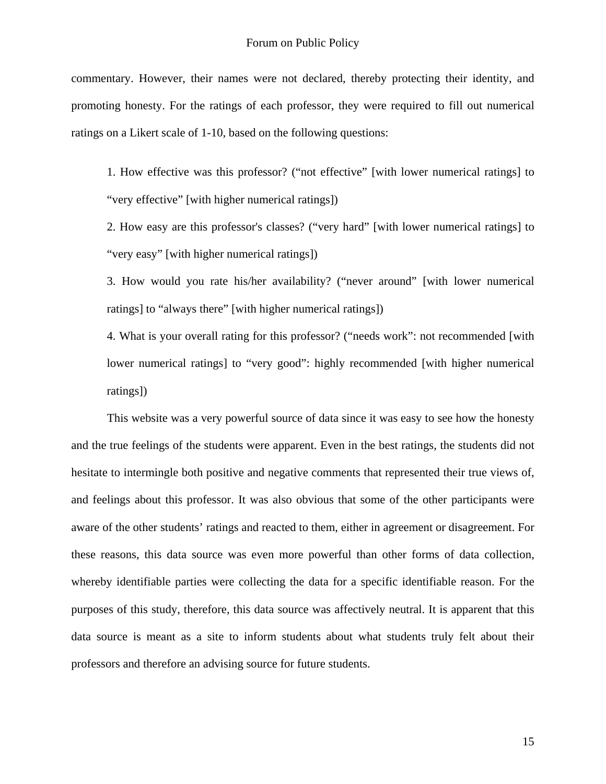commentary. However, their names were not declared, thereby protecting their identity, and promoting honesty. For the ratings of each professor, they were required to fill out numerical ratings on a Likert scale of 1-10, based on the following questions:

1. How effective was this professor? ("not effective" [with lower numerical ratings] to "very effective" [with higher numerical ratings])

2. How easy are this professor's classes? ("very hard" [with lower numerical ratings] to "very easy" [with higher numerical ratings])

3. How would you rate his/her availability? ("never around" [with lower numerical ratings] to "always there" [with higher numerical ratings])

4. What is your overall rating for this professor? ("needs work": not recommended [with lower numerical ratings] to "very good": highly recommended [with higher numerical ratings])

 This website was a very powerful source of data since it was easy to see how the honesty and the true feelings of the students were apparent. Even in the best ratings, the students did not hesitate to intermingle both positive and negative comments that represented their true views of, and feelings about this professor. It was also obvious that some of the other participants were aware of the other students' ratings and reacted to them, either in agreement or disagreement. For these reasons, this data source was even more powerful than other forms of data collection, whereby identifiable parties were collecting the data for a specific identifiable reason. For the purposes of this study, therefore, this data source was affectively neutral. It is apparent that this data source is meant as a site to inform students about what students truly felt about their professors and therefore an advising source for future students.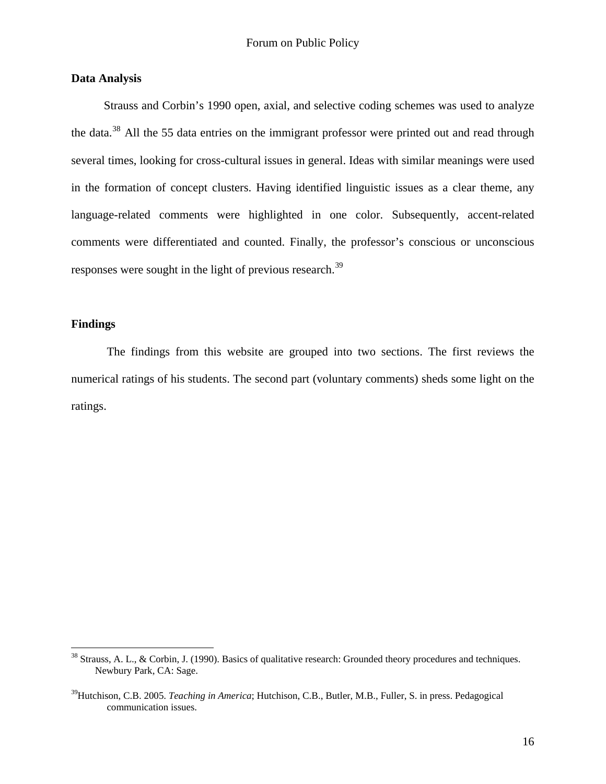#### **Data Analysis**

 Strauss and Corbin's 1990 open, axial, and selective coding schemes was used to analyze the data.[38](#page-15-0) All the 55 data entries on the immigrant professor were printed out and read through several times, looking for cross-cultural issues in general. Ideas with similar meanings were used in the formation of concept clusters. Having identified linguistic issues as a clear theme, any language-related comments were highlighted in one color. Subsequently, accent-related comments were differentiated and counted. Finally, the professor's conscious or unconscious responses were sought in the light of previous research.<sup>[39](#page-15-1)</sup>

## **Findings**

 $\overline{a}$ 

The findings from this website are grouped into two sections. The first reviews the numerical ratings of his students. The second part (voluntary comments) sheds some light on the ratings.

<span id="page-15-0"></span><sup>&</sup>lt;sup>38</sup> Strauss, A. L., & Corbin, J. (1990). Basics of qualitative research: Grounded theory procedures and techniques. Newbury Park, CA: Sage.

<span id="page-15-1"></span><sup>39</sup>Hutchison, C.B. 2005. *Teaching in America*; Hutchison, C.B., Butler, M.B., Fuller, S. in press. Pedagogical communication issues.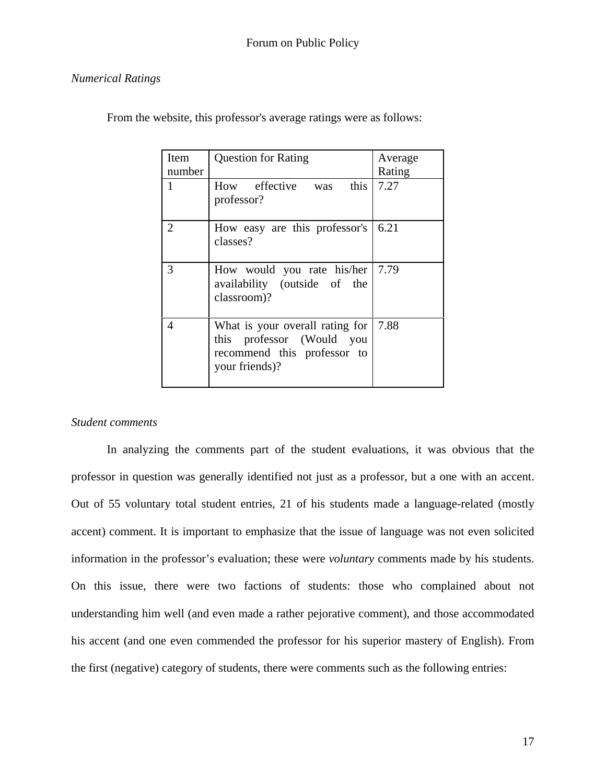## *Numerical Ratings*

| Item<br>number | <b>Question for Rating</b>                                                                                    | Average<br>Rating |
|----------------|---------------------------------------------------------------------------------------------------------------|-------------------|
| 1              | How effective was this<br>professor?                                                                          | 7.27              |
| $\overline{2}$ | How easy are this professor's<br>classes?                                                                     | 6.21              |
| 3              | How would you rate his/her   7.79<br>availability (outside of the<br>classroom)?                              |                   |
| 4              | What is your overall rating for<br>this professor (Would you<br>recommend this professor to<br>your friends)? | 7.88              |

From the website, this professor's average ratings were as follows:

## *Student comments*

In analyzing the comments part of the student evaluations, it was obvious that the professor in question was generally identified not just as a professor, but a one with an accent. Out of 55 voluntary total student entries, 21 of his students made a language-related (mostly accent) comment. It is important to emphasize that the issue of language was not even solicited information in the professor's evaluation; these were *voluntary* comments made by his students. On this issue, there were two factions of students: those who complained about not understanding him well (and even made a rather pejorative comment), and those accommodated his accent (and one even commended the professor for his superior mastery of English). From the first (negative) category of students, there were comments such as the following entries: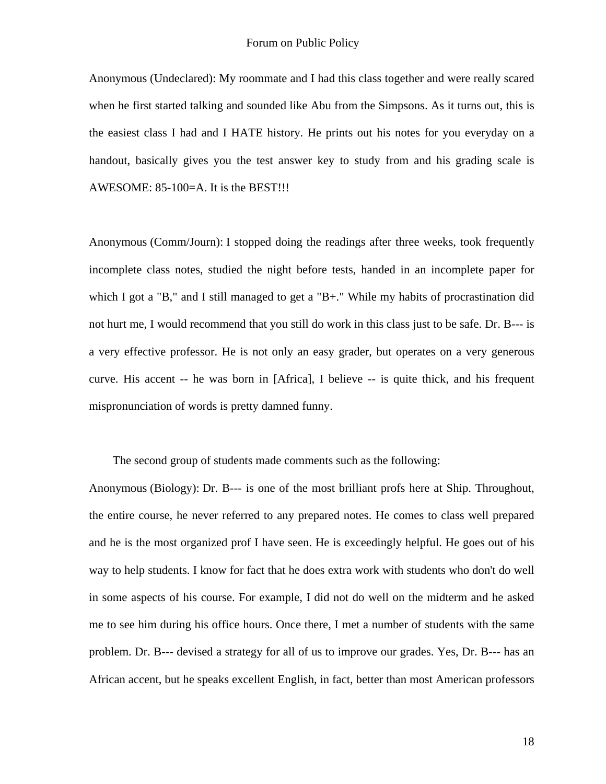Anonymous (Undeclared): My roommate and I had this class together and were really scared when he first started talking and sounded like Abu from the Simpsons. As it turns out, this is the easiest class I had and I HATE history. He prints out his notes for you everyday on a handout, basically gives you the test answer key to study from and his grading scale is AWESOME: 85-100=A. It is the BEST!!!

Anonymous (Comm/Journ): I stopped doing the readings after three weeks, took frequently incomplete class notes, studied the night before tests, handed in an incomplete paper for which I got a "B," and I still managed to get a "B+." While my habits of procrastination did not hurt me, I would recommend that you still do work in this class just to be safe. Dr. B--- is a very effective professor. He is not only an easy grader, but operates on a very generous curve. His accent -- he was born in [Africa], I believe -- is quite thick, and his frequent mispronunciation of words is pretty damned funny.

The second group of students made comments such as the following:

Anonymous (Biology): Dr. B--- is one of the most brilliant profs here at Ship. Throughout, the entire course, he never referred to any prepared notes. He comes to class well prepared and he is the most organized prof I have seen. He is exceedingly helpful. He goes out of his way to help students. I know for fact that he does extra work with students who don't do well in some aspects of his course. For example, I did not do well on the midterm and he asked me to see him during his office hours. Once there, I met a number of students with the same problem. Dr. B--- devised a strategy for all of us to improve our grades. Yes, Dr. B--- has an African accent, but he speaks excellent English, in fact, better than most American professors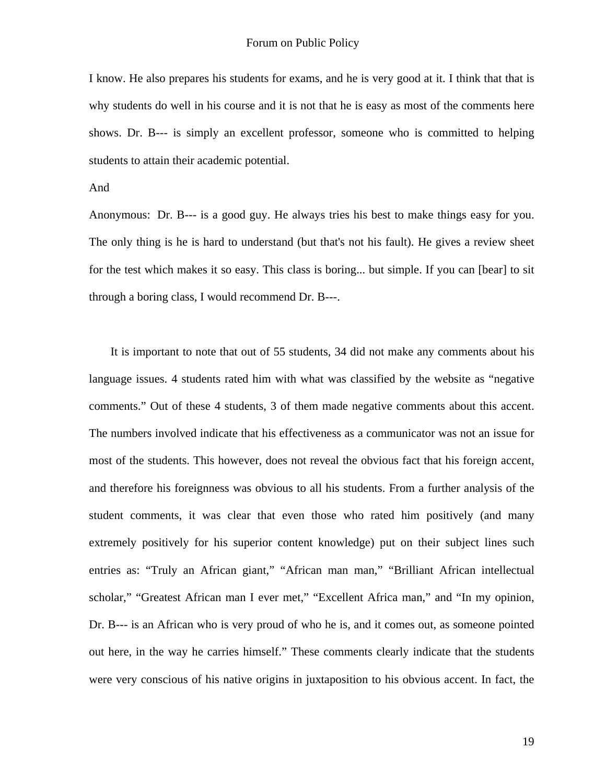I know. He also prepares his students for exams, and he is very good at it. I think that that is why students do well in his course and it is not that he is easy as most of the comments here shows. Dr. B--- is simply an excellent professor, someone who is committed to helping students to attain their academic potential.

#### And

Anonymous: Dr. B--- is a good guy. He always tries his best to make things easy for you. The only thing is he is hard to understand (but that's not his fault). He gives a review sheet for the test which makes it so easy. This class is boring... but simple. If you can [bear] to sit through a boring class, I would recommend Dr. B---.

 It is important to note that out of 55 students, 34 did not make any comments about his language issues. 4 students rated him with what was classified by the website as "negative comments." Out of these 4 students, 3 of them made negative comments about this accent. The numbers involved indicate that his effectiveness as a communicator was not an issue for most of the students. This however, does not reveal the obvious fact that his foreign accent, and therefore his foreignness was obvious to all his students. From a further analysis of the student comments, it was clear that even those who rated him positively (and many extremely positively for his superior content knowledge) put on their subject lines such entries as: "Truly an African giant," "African man man," "Brilliant African intellectual scholar," "Greatest African man I ever met," "Excellent Africa man," and "In my opinion, Dr. B--- is an African who is very proud of who he is, and it comes out, as someone pointed out here, in the way he carries himself." These comments clearly indicate that the students were very conscious of his native origins in juxtaposition to his obvious accent. In fact, the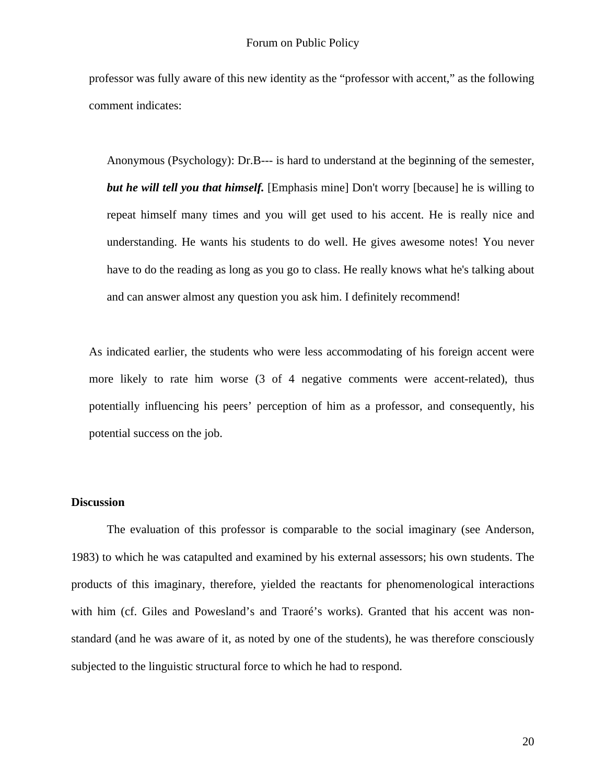professor was fully aware of this new identity as the "professor with accent," as the following comment indicates:

Anonymous (Psychology): Dr.B--- is hard to understand at the beginning of the semester, *but he will tell you that himself.* [Emphasis mine] Don't worry [because] he is willing to repeat himself many times and you will get used to his accent. He is really nice and understanding. He wants his students to do well. He gives awesome notes! You never have to do the reading as long as you go to class. He really knows what he's talking about and can answer almost any question you ask him. I definitely recommend!

As indicated earlier, the students who were less accommodating of his foreign accent were more likely to rate him worse (3 of 4 negative comments were accent-related), thus potentially influencing his peers' perception of him as a professor, and consequently, his potential success on the job.

## **Discussion**

The evaluation of this professor is comparable to the social imaginary (see Anderson, 1983) to which he was catapulted and examined by his external assessors; his own students. The products of this imaginary, therefore, yielded the reactants for phenomenological interactions with him (cf. Giles and Powesland's and Traoré's works). Granted that his accent was nonstandard (and he was aware of it, as noted by one of the students), he was therefore consciously subjected to the linguistic structural force to which he had to respond.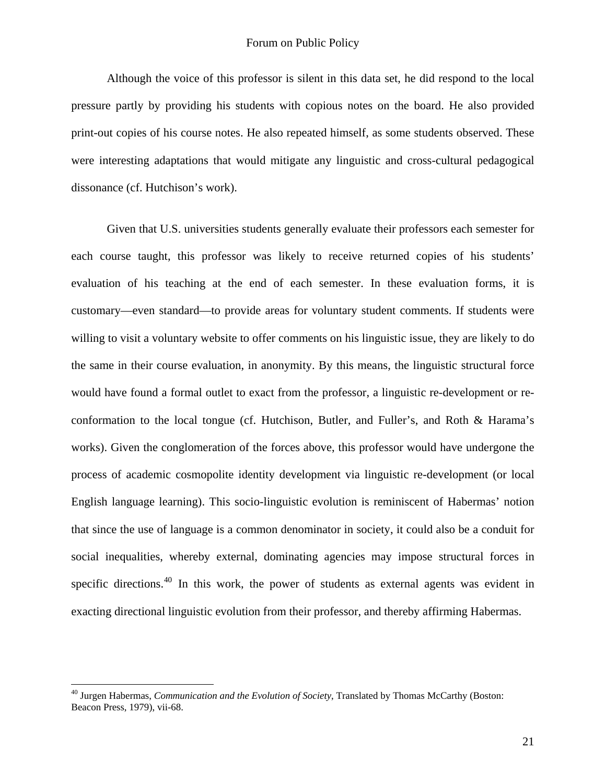Although the voice of this professor is silent in this data set, he did respond to the local pressure partly by providing his students with copious notes on the board. He also provided print-out copies of his course notes. He also repeated himself, as some students observed. These were interesting adaptations that would mitigate any linguistic and cross-cultural pedagogical dissonance (cf. Hutchison's work).

Given that U.S. universities students generally evaluate their professors each semester for each course taught, this professor was likely to receive returned copies of his students' evaluation of his teaching at the end of each semester. In these evaluation forms, it is customary—even standard—to provide areas for voluntary student comments. If students were willing to visit a voluntary website to offer comments on his linguistic issue, they are likely to do the same in their course evaluation, in anonymity. By this means, the linguistic structural force would have found a formal outlet to exact from the professor, a linguistic re-development or reconformation to the local tongue (cf. Hutchison, Butler, and Fuller's, and Roth & Harama's works). Given the conglomeration of the forces above, this professor would have undergone the process of academic cosmopolite identity development via linguistic re-development (or local English language learning). This socio-linguistic evolution is reminiscent of Habermas' notion that since the use of language is a common denominator in society, it could also be a conduit for social inequalities, whereby external, dominating agencies may impose structural forces in specific directions.<sup>[40](#page-20-0)</sup> In this work, the power of students as external agents was evident in exacting directional linguistic evolution from their professor, and thereby affirming Habermas.

<span id="page-20-0"></span><sup>40</sup> Jurgen Habermas, *Communication and the Evolution of Society*, Translated by Thomas McCarthy (Boston: Beacon Press, 1979), vii-68.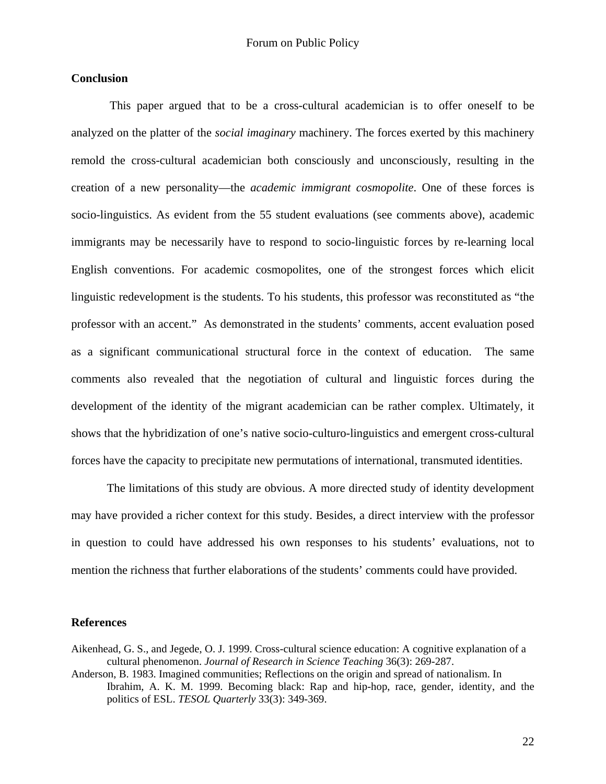#### **Conclusion**

 This paper argued that to be a cross-cultural academician is to offer oneself to be analyzed on the platter of the *social imaginary* machinery. The forces exerted by this machinery remold the cross-cultural academician both consciously and unconsciously, resulting in the creation of a new personality—the *academic immigrant cosmopolite*. One of these forces is socio-linguistics. As evident from the 55 student evaluations (see comments above), academic immigrants may be necessarily have to respond to socio-linguistic forces by re-learning local English conventions. For academic cosmopolites, one of the strongest forces which elicit linguistic redevelopment is the students. To his students, this professor was reconstituted as "the professor with an accent." As demonstrated in the students' comments, accent evaluation posed as a significant communicational structural force in the context of education. The same comments also revealed that the negotiation of cultural and linguistic forces during the development of the identity of the migrant academician can be rather complex. Ultimately, it shows that the hybridization of one's native socio-culturo-linguistics and emergent cross-cultural forces have the capacity to precipitate new permutations of international, transmuted identities.

 The limitations of this study are obvious. A more directed study of identity development may have provided a richer context for this study. Besides, a direct interview with the professor in question to could have addressed his own responses to his students' evaluations, not to mention the richness that further elaborations of the students' comments could have provided.

#### **References**

- Aikenhead, G. S., and Jegede, O. J. 1999. Cross-cultural science education: A cognitive explanation of a cultural phenomenon. *Journal of Research in Science Teaching* 36(3): 269-287.
- Anderson, B. 1983. Imagined communities; Reflections on the origin and spread of nationalism. In Ibrahim, A. K. M. 1999. Becoming black: Rap and hip-hop, race, gender, identity, and the politics of ESL. *TESOL Quarterly* 33(3): 349-369.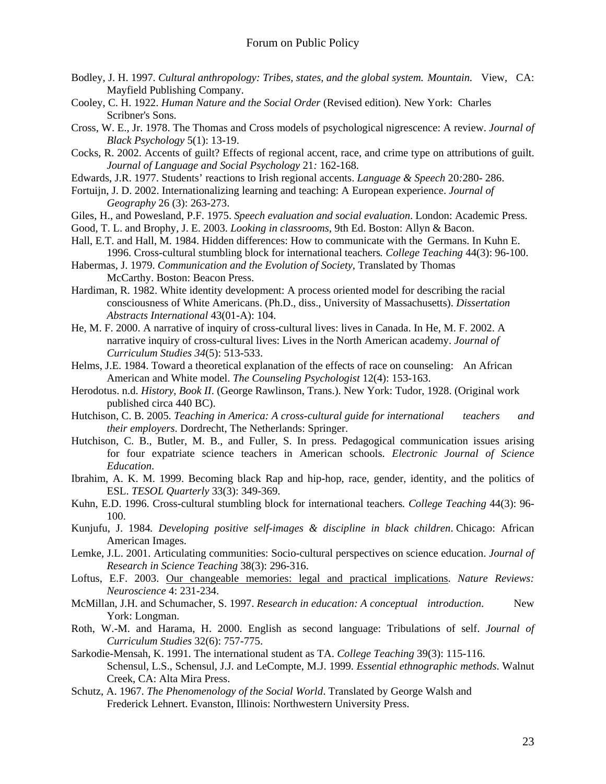- Bodley, J. H. 1997. *Cultural anthropology: Tribes, states, and the global system. Mountain.* View, CA: Mayfield Publishing Company.
- Cooley, C. H. 1922. *Human Nature and the Social Order* (Revised edition)*.* New York: Charles Scribner's Sons.
- Cross, W. E., Jr. 1978. The Thomas and Cross models of psychological nigrescence: A review. *Journal of Black Psychology* 5(1): 13-19.
- Cocks, R. 2002. Accents of guilt? Effects of regional accent, race, and crime type on attributions of guilt. *Journal of Language and Social Psychology* 21*:* 162-168.
- Edwards, J.R. 1977. Students' reactions to Irish regional accents. *Language & Speech* 20*:*280- 286.
- Fortuijn, J. D. 2002. Internationalizing learning and teaching: A European experience. *Journal of Geography* 26 (3): 263-273.
- Giles, H., and Powesland, P.F. 1975. *Speech evaluation and social evaluation*. London: Academic Press.
- Good, T. L. and Brophy, J. E. 2003. *Looking in classrooms*, 9th Ed. Boston: Allyn & Bacon.
- Hall, E.T. and Hall, M. 1984. Hidden differences: How to communicate with the Germans. In Kuhn E.1996. Cross-cultural stumbling block for international teachers*. College Teaching* 44(3): 96-100.
- Habermas, J. 1979. *Communication and the Evolution of Society*, Translated by Thomas McCarthy. Boston: Beacon Press.
- Hardiman, R. 1982. White identity development: A process oriented model for describing the racial consciousness of White Americans. (Ph.D., diss., University of Massachusetts). *Dissertation Abstracts International* 43(01-A): 104.
- He, M. F. 2000. A narrative of inquiry of cross-cultural lives: lives in Canada. In He, M. F. 2002. A narrative inquiry of cross-cultural lives: Lives in the North American academy. *Journal of Curriculum Studies 34*(5): 513-533.
- Helms, J.E. 1984. Toward a theoretical explanation of the effects of race on counseling: An African American and White model. *The Counseling Psychologist* 12(4): 153-163.
- Herodotus. n.d. *History*, *Book II*. (George Rawlinson, Trans.). New York: Tudor, 1928. (Original work published circa 440 BC).
- Hutchison, C. B. 2005. *Teaching in America: A cross-cultural guide for international teachers and their employers*. Dordrecht, The Netherlands: Springer.
- Hutchison, C. B., Butler, M. B., and Fuller, S. In press. Pedagogical communication issues arising for four expatriate science teachers in American schools. *Electronic Journal of Science Education*.
- Ibrahim, A. K. M. 1999. Becoming black Rap and hip-hop, race, gender, identity, and the politics of ESL. *TESOL Quarterly* 33(3): 349-369.
- Kuhn, E.D. 1996. Cross-cultural stumbling block for international teachers*. College Teaching* 44(3): 96- 100.
- Kunjufu, J. 1984*. Developing positive self-images & discipline in black children*. Chicago: African American Images.
- Lemke, J.L. 2001. Articulating communities: Socio-cultural perspectives on science education. *Journal of Research in Science Teaching* 38(3): 296-316.
- Loftus, E.F. 2003. [Our changeable memories: legal and practical implications.](javascript:ol() *Nature Reviews: Neuroscience* 4: 231-234.
- McMillan, J.H. and Schumacher, S. 1997. *Research in education: A conceptual introduction*. New York: Longman.
- Roth, W.-M. and Harama, H. 2000. English as second language: Tribulations of self. *Journal of Curriculum Studies* 32(6): 757-775.
- Sarkodie-Mensah, K. 1991. The international student as TA. *College Teaching* 39(3): 115-116. Schensul, L.S., Schensul, J.J. and LeCompte, M.J. 1999. *Essential ethnographic methods*. Walnut Creek, CA: Alta Mira Press.
- Schutz, A. 1967. *The Phenomenology of the Social World*. Translated by George Walsh and Frederick Lehnert. Evanston, Illinois: Northwestern University Press.